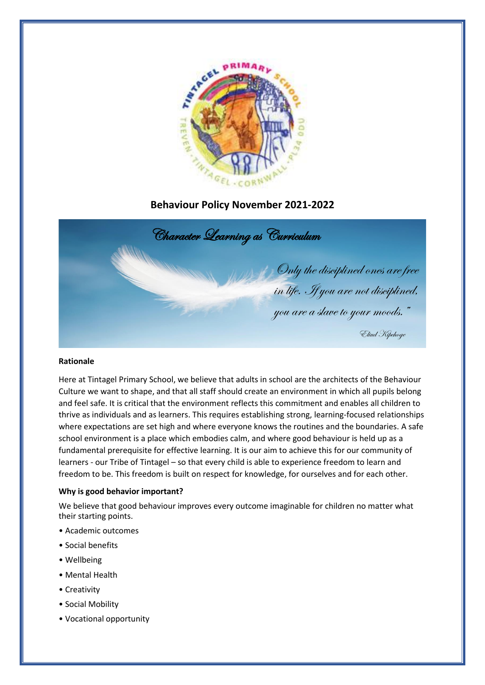

# **Behaviour Policy November 2021-2022**



## **Rationale**

Here at Tintagel Primary School, we believe that adults in school are the architects of the Behaviour Culture we want to shape, and that all staff should create an environment in which all pupils belong and feel safe. It is critical that the environment reflects this commitment and enables all children to thrive as individuals and as learners. This requires establishing strong, learning-focused relationships where expectations are set high and where everyone knows the routines and the boundaries. A safe school environment is a place which embodies calm, and where good behaviour is held up as a fundamental prerequisite for effective learning. It is our aim to achieve this for our community of learners - our Tribe of Tintagel – so that every child is able to experience freedom to learn and freedom to be. This freedom is built on respect for knowledge, for ourselves and for each other.

# **Why is good behavior important?**

We believe that good behaviour improves every outcome imaginable for children no matter what their starting points.

- Academic outcomes
- Social benefits
- Wellbeing
- Mental Health
- Creativity
- Social Mobility
- Vocational opportunity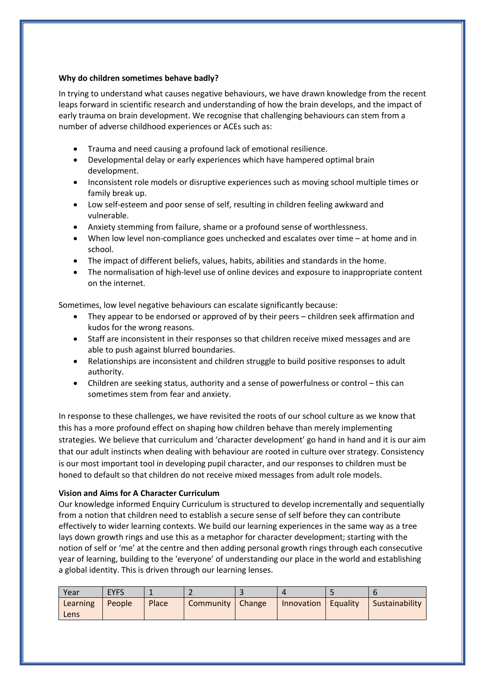# **Why do children sometimes behave badly?**

In trying to understand what causes negative behaviours, we have drawn knowledge from the recent leaps forward in scientific research and understanding of how the brain develops, and the impact of early trauma on brain development. We recognise that challenging behaviours can stem from a number of adverse childhood experiences or ACEs such as:

- Trauma and need causing a profound lack of emotional resilience.
- Developmental delay or early experiences which have hampered optimal brain development.
- Inconsistent role models or disruptive experiences such as moving school multiple times or family break up.
- Low self-esteem and poor sense of self, resulting in children feeling awkward and vulnerable.
- Anxiety stemming from failure, shame or a profound sense of worthlessness.
- When low level non-compliance goes unchecked and escalates over time at home and in school.
- The impact of different beliefs, values, habits, abilities and standards in the home.
- The normalisation of high-level use of online devices and exposure to inappropriate content on the internet.

Sometimes, low level negative behaviours can escalate significantly because:

- They appear to be endorsed or approved of by their peers children seek affirmation and kudos for the wrong reasons.
- Staff are inconsistent in their responses so that children receive mixed messages and are able to push against blurred boundaries.
- Relationships are inconsistent and children struggle to build positive responses to adult authority.
- Children are seeking status, authority and a sense of powerfulness or control this can sometimes stem from fear and anxiety.

In response to these challenges, we have revisited the roots of our school culture as we know that this has a more profound effect on shaping how children behave than merely implementing strategies. We believe that curriculum and 'character development' go hand in hand and it is our aim that our adult instincts when dealing with behaviour are rooted in culture over strategy. Consistency is our most important tool in developing pupil character, and our responses to children must be honed to default so that children do not receive mixed messages from adult role models.

# **Vision and Aims for A Character Curriculum**

Our knowledge informed Enquiry Curriculum is structured to develop incrementally and sequentially from a notion that children need to establish a secure sense of self before they can contribute effectively to wider learning contexts. We build our learning experiences in the same way as a tree lays down growth rings and use this as a metaphor for character development; starting with the notion of self or 'me' at the centre and then adding personal growth rings through each consecutive year of learning, building to the 'everyone' of understanding our place in the world and establishing a global identity. This is driven through our learning lenses.

| Year             | <b>EYFS</b> |       |                    |                       |                |
|------------------|-------------|-------|--------------------|-----------------------|----------------|
| Learning<br>Lens | People      | Place | Community   Change | Innovation   Equality | Sustainability |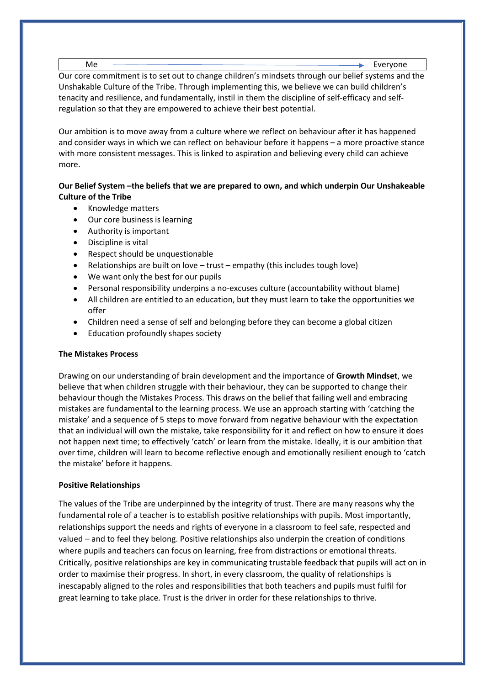Me Everyone

Our core commitment is to set out to change children's mindsets through our belief systems and the Unshakable Culture of the Tribe. Through implementing this, we believe we can build children's tenacity and resilience, and fundamentally, instil in them the discipline of self-efficacy and selfregulation so that they are empowered to achieve their best potential.

Our ambition is to move away from a culture where we reflect on behaviour after it has happened and consider ways in which we can reflect on behaviour before it happens – a more proactive stance with more consistent messages. This is linked to aspiration and believing every child can achieve more.

# **Our Belief System –the beliefs that we are prepared to own, and which underpin Our Unshakeable Culture of the Tribe**

- Knowledge matters
- Our core business is learning
- Authority is important
- Discipline is vital
- Respect should be unquestionable
- Relationships are built on love trust empathy (this includes tough love)
- We want only the best for our pupils
- Personal responsibility underpins a no-excuses culture (accountability without blame)
- All children are entitled to an education, but they must learn to take the opportunities we offer
- Children need a sense of self and belonging before they can become a global citizen
- Education profoundly shapes society

# **The Mistakes Process**

Drawing on our understanding of brain development and the importance of **Growth Mindset**, we believe that when children struggle with their behaviour, they can be supported to change their behaviour though the Mistakes Process. This draws on the belief that failing well and embracing mistakes are fundamental to the learning process. We use an approach starting with 'catching the mistake' and a sequence of 5 steps to move forward from negative behaviour with the expectation that an individual will own the mistake, take responsibility for it and reflect on how to ensure it does not happen next time; to effectively 'catch' or learn from the mistake. Ideally, it is our ambition that over time, children will learn to become reflective enough and emotionally resilient enough to 'catch the mistake' before it happens.

# **Positive Relationships**

The values of the Tribe are underpinned by the integrity of trust. There are many reasons why the fundamental role of a teacher is to establish positive relationships with pupils. Most importantly, relationships support the needs and rights of everyone in a classroom to feel safe, respected and valued – and to feel they belong. Positive relationships also underpin the creation of conditions where pupils and teachers can focus on learning, free from distractions or emotional threats. Critically, positive relationships are key in communicating trustable feedback that pupils will act on in order to maximise their progress. In short, in every classroom, the quality of relationships is inescapably aligned to the roles and responsibilities that both teachers and pupils must fulfil for great learning to take place. Trust is the driver in order for these relationships to thrive.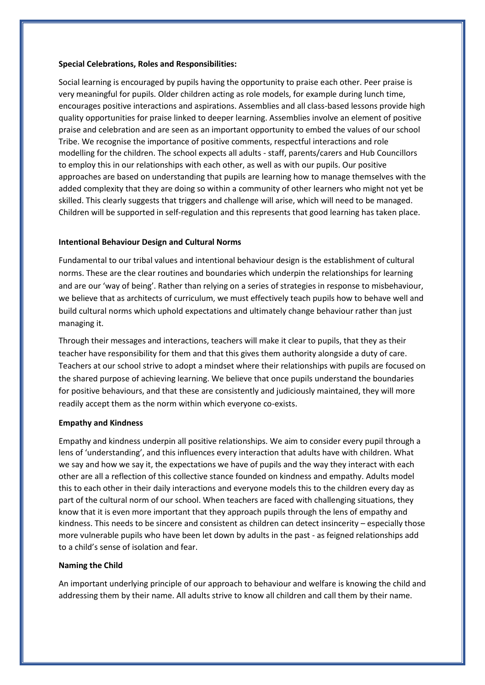### **Special Celebrations, Roles and Responsibilities:**

Social learning is encouraged by pupils having the opportunity to praise each other. Peer praise is very meaningful for pupils. Older children acting as role models, for example during lunch time, encourages positive interactions and aspirations. Assemblies and all class-based lessons provide high quality opportunities for praise linked to deeper learning. Assemblies involve an element of positive praise and celebration and are seen as an important opportunity to embed the values of our school Tribe. We recognise the importance of positive comments, respectful interactions and role modelling for the children. The school expects all adults - staff, parents/carers and Hub Councillors to employ this in our relationships with each other, as well as with our pupils. Our positive approaches are based on understanding that pupils are learning how to manage themselves with the added complexity that they are doing so within a community of other learners who might not yet be skilled. This clearly suggests that triggers and challenge will arise, which will need to be managed. Children will be supported in self-regulation and this represents that good learning has taken place.

# **Intentional Behaviour Design and Cultural Norms**

Fundamental to our tribal values and intentional behaviour design is the establishment of cultural norms. These are the clear routines and boundaries which underpin the relationships for learning and are our 'way of being'. Rather than relying on a series of strategies in response to misbehaviour, we believe that as architects of curriculum, we must effectively teach pupils how to behave well and build cultural norms which uphold expectations and ultimately change behaviour rather than just managing it.

Through their messages and interactions, teachers will make it clear to pupils, that they as their teacher have responsibility for them and that this gives them authority alongside a duty of care. Teachers at our school strive to adopt a mindset where their relationships with pupils are focused on the shared purpose of achieving learning. We believe that once pupils understand the boundaries for positive behaviours, and that these are consistently and judiciously maintained, they will more readily accept them as the norm within which everyone co-exists.

# **Empathy and Kindness**

Empathy and kindness underpin all positive relationships. We aim to consider every pupil through a lens of 'understanding', and this influences every interaction that adults have with children. What we say and how we say it, the expectations we have of pupils and the way they interact with each other are all a reflection of this collective stance founded on kindness and empathy. Adults model this to each other in their daily interactions and everyone models this to the children every day as part of the cultural norm of our school. When teachers are faced with challenging situations, they know that it is even more important that they approach pupils through the lens of empathy and kindness. This needs to be sincere and consistent as children can detect insincerity – especially those more vulnerable pupils who have been let down by adults in the past - as feigned relationships add to a child's sense of isolation and fear.

# **Naming the Child**

An important underlying principle of our approach to behaviour and welfare is knowing the child and addressing them by their name. All adults strive to know all children and call them by their name.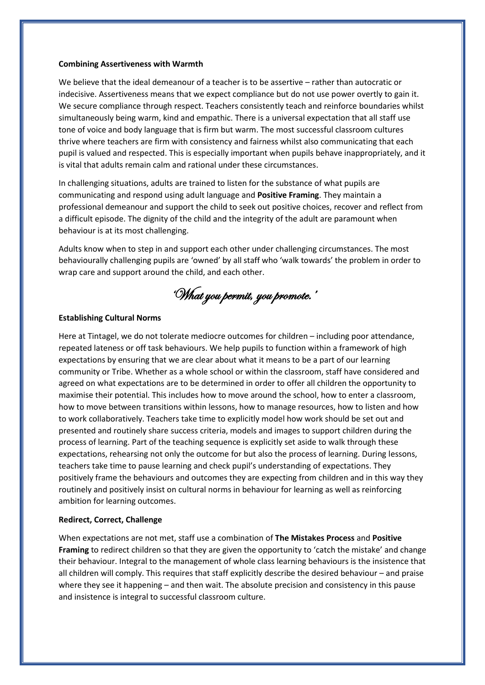#### **Combining Assertiveness with Warmth**

We believe that the ideal demeanour of a teacher is to be assertive – rather than autocratic or indecisive. Assertiveness means that we expect compliance but do not use power overtly to gain it. We secure compliance through respect. Teachers consistently teach and reinforce boundaries whilst simultaneously being warm, kind and empathic. There is a universal expectation that all staff use tone of voice and body language that is firm but warm. The most successful classroom cultures thrive where teachers are firm with consistency and fairness whilst also communicating that each pupil is valued and respected. This is especially important when pupils behave inappropriately, and it is vital that adults remain calm and rational under these circumstances.

In challenging situations, adults are trained to listen for the substance of what pupils are communicating and respond using adult language and **Positive Framing**. They maintain a professional demeanour and support the child to seek out positive choices, recover and reflect from a difficult episode. The dignity of the child and the integrity of the adult are paramount when behaviour is at its most challenging.

Adults know when to step in and support each other under challenging circumstances. The most behaviourally challenging pupils are 'owned' by all staff who 'walk towards' the problem in order to wrap care and support around the child, and each other.

'What you permit, you promote.'

### **Establishing Cultural Norms**

Here at Tintagel, we do not tolerate mediocre outcomes for children – including poor attendance, repeated lateness or off task behaviours. We help pupils to function within a framework of high expectations by ensuring that we are clear about what it means to be a part of our learning community or Tribe. Whether as a whole school or within the classroom, staff have considered and agreed on what expectations are to be determined in order to offer all children the opportunity to maximise their potential. This includes how to move around the school, how to enter a classroom, how to move between transitions within lessons, how to manage resources, how to listen and how to work collaboratively. Teachers take time to explicitly model how work should be set out and presented and routinely share success criteria, models and images to support children during the process of learning. Part of the teaching sequence is explicitly set aside to walk through these expectations, rehearsing not only the outcome for but also the process of learning. During lessons, teachers take time to pause learning and check pupil's understanding of expectations. They positively frame the behaviours and outcomes they are expecting from children and in this way they routinely and positively insist on cultural norms in behaviour for learning as well as reinforcing ambition for learning outcomes.

### **Redirect, Correct, Challenge**

When expectations are not met, staff use a combination of **The Mistakes Process** and **Positive Framing** to redirect children so that they are given the opportunity to 'catch the mistake' and change their behaviour. Integral to the management of whole class learning behaviours is the insistence that all children will comply. This requires that staff explicitly describe the desired behaviour – and praise where they see it happening – and then wait. The absolute precision and consistency in this pause and insistence is integral to successful classroom culture.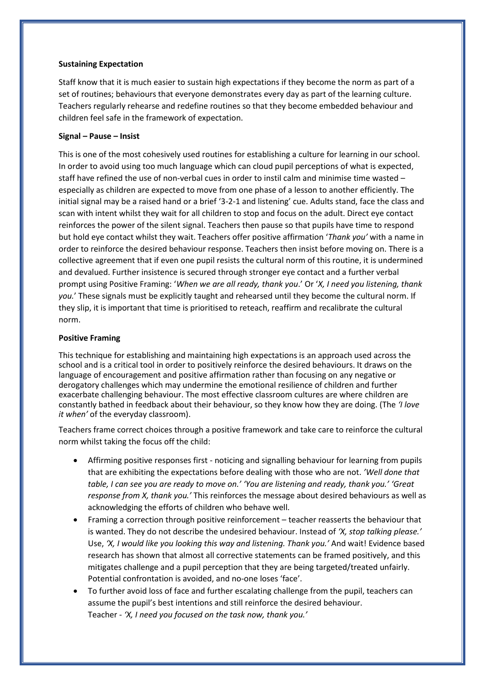### **Sustaining Expectation**

Staff know that it is much easier to sustain high expectations if they become the norm as part of a set of routines; behaviours that everyone demonstrates every day as part of the learning culture. Teachers regularly rehearse and redefine routines so that they become embedded behaviour and children feel safe in the framework of expectation.

# **Signal – Pause – Insist**

This is one of the most cohesively used routines for establishing a culture for learning in our school. In order to avoid using too much language which can cloud pupil perceptions of what is expected, staff have refined the use of non-verbal cues in order to instil calm and minimise time wasted – especially as children are expected to move from one phase of a lesson to another efficiently. The initial signal may be a raised hand or a brief '3-2-1 and listening' cue. Adults stand, face the class and scan with intent whilst they wait for all children to stop and focus on the adult. Direct eye contact reinforces the power of the silent signal. Teachers then pause so that pupils have time to respond but hold eye contact whilst they wait. Teachers offer positive affirmation '*Thank you'* with a name in order to reinforce the desired behaviour response. Teachers then insist before moving on. There is a collective agreement that if even one pupil resists the cultural norm of this routine, it is undermined and devalued. Further insistence is secured through stronger eye contact and a further verbal prompt using Positive Framing: '*When we are all ready, thank you*.' Or '*X, I need you listening, thank you.*' These signals must be explicitly taught and rehearsed until they become the cultural norm. If they slip, it is important that time is prioritised to reteach, reaffirm and recalibrate the cultural norm.

### **Positive Framing**

This technique for establishing and maintaining high expectations is an approach used across the school and is a critical tool in order to positively reinforce the desired behaviours. It draws on the language of encouragement and positive affirmation rather than focusing on any negative or derogatory challenges which may undermine the emotional resilience of children and further exacerbate challenging behaviour. The most effective classroom cultures are where children are constantly bathed in feedback about their behaviour, so they know how they are doing. (The *'I love it when'* of the everyday classroom).

Teachers frame correct choices through a positive framework and take care to reinforce the cultural norm whilst taking the focus off the child:

- Affirming positive responses first noticing and signalling behaviour for learning from pupils that are exhibiting the expectations before dealing with those who are not. *'Well done that table, I can see you are ready to move on.' 'You are listening and ready, thank you.' 'Great response from X, thank you.'* This reinforces the message about desired behaviours as well as acknowledging the efforts of children who behave well.
- Framing a correction through positive reinforcement teacher reasserts the behaviour that is wanted. They do not describe the undesired behaviour. Instead of *'X, stop talking please.'* Use, *'X, I would like you looking this way and listening. Thank you.'* And wait! Evidence based research has shown that almost all corrective statements can be framed positively, and this mitigates challenge and a pupil perception that they are being targeted/treated unfairly. Potential confrontation is avoided, and no-one loses 'face'.
- To further avoid loss of face and further escalating challenge from the pupil, teachers can assume the pupil's best intentions and still reinforce the desired behaviour. Teacher - *'X, I need you focused on the task now, thank you.'*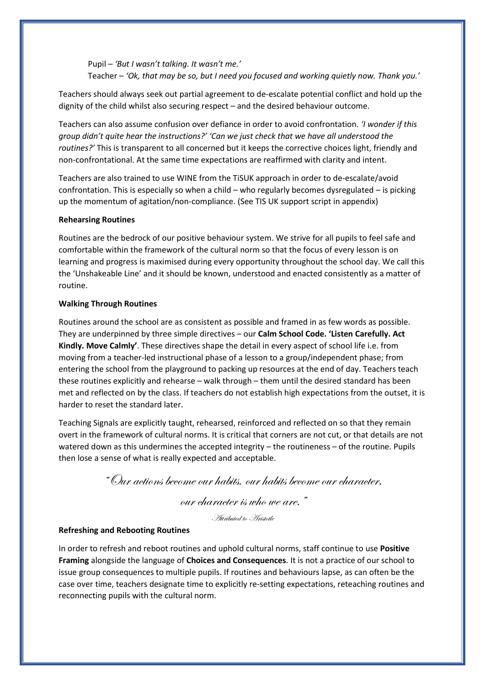Pupil – *'But I wasn't talking. It wasn't me.'* Teacher – *'Ok, that may be so, but I need you focused and working quietly now. Thank you.'*

Teachers should always seek out partial agreement to de-escalate potential conflict and hold up the dignity of the child whilst also securing respect – and the desired behaviour outcome.

Teachers can also assume confusion over defiance in order to avoid confrontation. *'I wonder if this group didn't quite hear the instructions?' 'Can we just check that we have all understood the routines?'* This is transparent to all concerned but it keeps the corrective choices light, friendly and non-confrontational. At the same time expectations are reaffirmed with clarity and intent.

Teachers are also trained to use WINE from the TiSUK approach in order to de-escalate/avoid confrontation. This is especially so when a child – who regularly becomes dysregulated – is picking up the momentum of agitation/non-compliance. (See TIS UK support script in appendix)

## **Rehearsing Routines**

Routines are the bedrock of our positive behaviour system. We strive for all pupils to feel safe and comfortable within the framework of the cultural norm so that the focus of every lesson is on learning and progress is maximised during every opportunity throughout the school day. We call this the 'Unshakeable Line' and it should be known, understood and enacted consistently as a matter of routine.

### **Walking Through Routines**

Routines around the school are as consistent as possible and framed in as few words as possible. They are underpinned by three simple directives – our **Calm School Code. 'Listen Carefully. Act Kindly. Move Calmly'**. These directives shape the detail in every aspect of school life i.e. from moving from a teacher-led instructional phase of a lesson to a group/independent phase; from entering the school from the playground to packing up resources at the end of day. Teachers teach these routines explicitly and rehearse – walk through – them until the desired standard has been met and reflected on by the class. If teachers do not establish high expectations from the outset, it is harder to reset the standard later.

Teaching Signals are explicitly taught, rehearsed, reinforced and reflected on so that they remain overt in the framework of cultural norms. It is critical that corners are not cut, or that details are not watered down as this undermines the accepted integrity – the routineness – of the routine. Pupils then lose a sense of what is really expected and acceptable.

"Our actions become our habits, our habits become our character,

our character is who we are."

Attributed to Aristotle

## **Refreshing and Rebooting Routines**

In order to refresh and reboot routines and uphold cultural norms, staff continue to use **Positive Framing** alongside the language of **Choices and Consequences**. It is not a practice of our school to issue group consequences to multiple pupils. If routines and behaviours lapse, as can often be the case over time, teachers designate time to explicitly re-setting expectations, reteaching routines and reconnecting pupils with the cultural norm.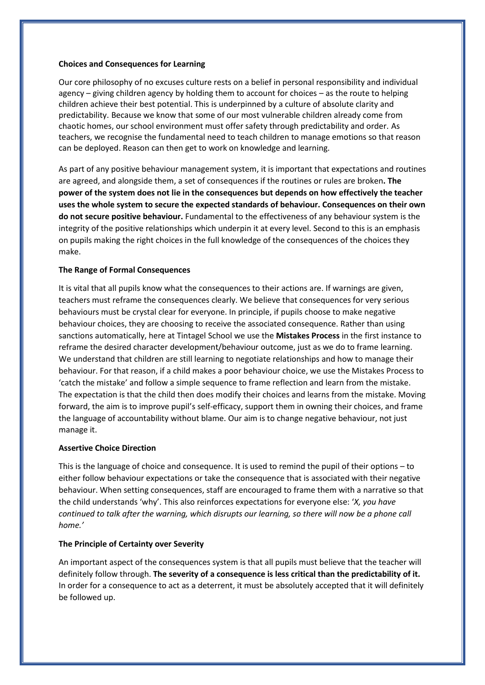### **Choices and Consequences for Learning**

Our core philosophy of no excuses culture rests on a belief in personal responsibility and individual agency – giving children agency by holding them to account for choices – as the route to helping children achieve their best potential. This is underpinned by a culture of absolute clarity and predictability. Because we know that some of our most vulnerable children already come from chaotic homes, our school environment must offer safety through predictability and order. As teachers, we recognise the fundamental need to teach children to manage emotions so that reason can be deployed. Reason can then get to work on knowledge and learning.

As part of any positive behaviour management system, it is important that expectations and routines are agreed, and alongside them, a set of consequences if the routines or rules are broken**. The power of the system does not lie in the consequences but depends on how effectively the teacher uses the whole system to secure the expected standards of behaviour. Consequences on their own do not secure positive behaviour.** Fundamental to the effectiveness of any behaviour system is the integrity of the positive relationships which underpin it at every level. Second to this is an emphasis on pupils making the right choices in the full knowledge of the consequences of the choices they make.

### **The Range of Formal Consequences**

It is vital that all pupils know what the consequences to their actions are. If warnings are given, teachers must reframe the consequences clearly. We believe that consequences for very serious behaviours must be crystal clear for everyone. In principle, if pupils choose to make negative behaviour choices, they are choosing to receive the associated consequence. Rather than using sanctions automatically, here at Tintagel School we use the **Mistakes Process** in the first instance to reframe the desired character development/behaviour outcome, just as we do to frame learning. We understand that children are still learning to negotiate relationships and how to manage their behaviour. For that reason, if a child makes a poor behaviour choice, we use the Mistakes Process to 'catch the mistake' and follow a simple sequence to frame reflection and learn from the mistake. The expectation is that the child then does modify their choices and learns from the mistake. Moving forward, the aim is to improve pupil's self-efficacy, support them in owning their choices, and frame the language of accountability without blame. Our aim is to change negative behaviour, not just manage it.

### **Assertive Choice Direction**

This is the language of choice and consequence. It is used to remind the pupil of their options – to either follow behaviour expectations or take the consequence that is associated with their negative behaviour. When setting consequences, staff are encouraged to frame them with a narrative so that the child understands 'why'. This also reinforces expectations for everyone else: '*X, you have continued to talk after the warning, which disrupts our learning, so there will now be a phone call home.'*

### **The Principle of Certainty over Severity**

An important aspect of the consequences system is that all pupils must believe that the teacher will definitely follow through. **The severity of a consequence is less critical than the predictability of it.** In order for a consequence to act as a deterrent, it must be absolutely accepted that it will definitely be followed up.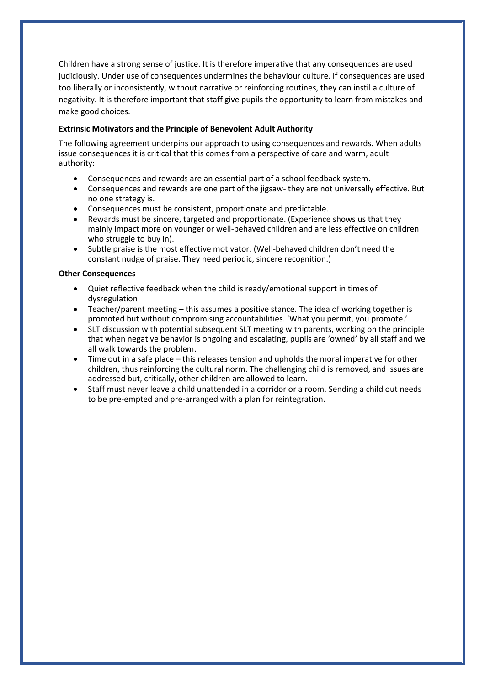Children have a strong sense of justice. It is therefore imperative that any consequences are used judiciously. Under use of consequences undermines the behaviour culture. If consequences are used too liberally or inconsistently, without narrative or reinforcing routines, they can instil a culture of negativity. It is therefore important that staff give pupils the opportunity to learn from mistakes and make good choices.

# **Extrinsic Motivators and the Principle of Benevolent Adult Authority**

The following agreement underpins our approach to using consequences and rewards. When adults issue consequences it is critical that this comes from a perspective of care and warm, adult authority:

- Consequences and rewards are an essential part of a school feedback system.
- Consequences and rewards are one part of the jigsaw- they are not universally effective. But no one strategy is.
- Consequences must be consistent, proportionate and predictable.
- Rewards must be sincere, targeted and proportionate. (Experience shows us that they mainly impact more on younger or well-behaved children and are less effective on children who struggle to buy in).
- Subtle praise is the most effective motivator. (Well-behaved children don't need the constant nudge of praise. They need periodic, sincere recognition.)

# **Other Consequences**

- Quiet reflective feedback when the child is ready/emotional support in times of dysregulation
- Teacher/parent meeting this assumes a positive stance. The idea of working together is promoted but without compromising accountabilities. 'What you permit, you promote.'
- SLT discussion with potential subsequent SLT meeting with parents, working on the principle that when negative behavior is ongoing and escalating, pupils are 'owned' by all staff and we all walk towards the problem.
- Time out in a safe place this releases tension and upholds the moral imperative for other children, thus reinforcing the cultural norm. The challenging child is removed, and issues are addressed but, critically, other children are allowed to learn.
- Staff must never leave a child unattended in a corridor or a room. Sending a child out needs to be pre-empted and pre-arranged with a plan for reintegration.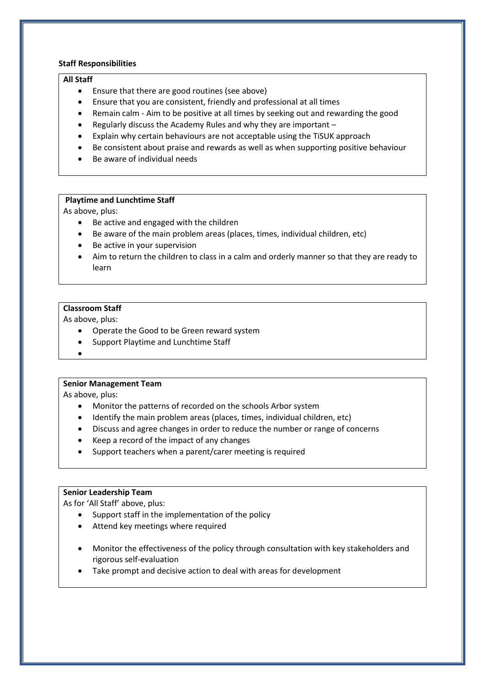# **Staff Responsibilities**

### **All Staff**

- Ensure that there are good routines (see above)
- Ensure that you are consistent, friendly and professional at all times
- Remain calm Aim to be positive at all times by seeking out and rewarding the good
- Regularly discuss the Academy Rules and why they are important –
- Explain why certain behaviours are not acceptable using the TiSUK approach
- Be consistent about praise and rewards as well as when supporting positive behaviour
- Be aware of individual needs

# **Playtime and Lunchtime Staff**

As above, plus:

- Be active and engaged with the children
- Be aware of the main problem areas (places, times, individual children, etc)
- Be active in your supervision
- Aim to return the children to class in a calm and orderly manner so that they are ready to learn

# **Classroom Staff**

As above, plus:

- Operate the Good to be Green reward system
- Support Playtime and Lunchtime Staff
- •

# **Senior Management Team**

As above, plus:

- Monitor the patterns of recorded on the schools Arbor system
- Identify the main problem areas (places, times, individual children, etc)
- Discuss and agree changes in order to reduce the number or range of concerns
- Keep a record of the impact of any changes
- Support teachers when a parent/carer meeting is required

# **Senior Leadership Team**

As for 'All Staff' above, plus:

- Support staff in the implementation of the policy
- Attend key meetings where required
- Monitor the effectiveness of the policy through consultation with key stakeholders and rigorous self-evaluation
- Take prompt and decisive action to deal with areas for development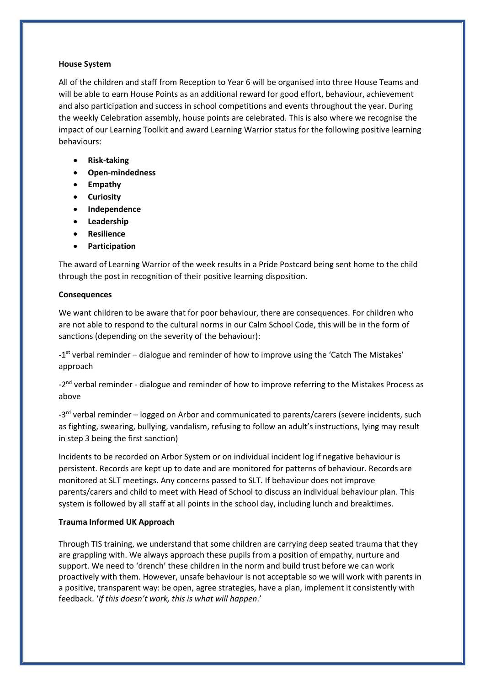### **House System**

All of the children and staff from Reception to Year 6 will be organised into three House Teams and will be able to earn House Points as an additional reward for good effort, behaviour, achievement and also participation and success in school competitions and events throughout the year. During the weekly Celebration assembly, house points are celebrated. This is also where we recognise the impact of our Learning Toolkit and award Learning Warrior status for the following positive learning behaviours:

- **Risk-taking**
- **Open-mindedness**
- **Empathy**
- **Curiosity**
- **Independence**
- **Leadership**
- **Resilience**
- **Participation**

The award of Learning Warrior of the week results in a Pride Postcard being sent home to the child through the post in recognition of their positive learning disposition.

## **Consequences**

We want children to be aware that for poor behaviour, there are consequences. For children who are not able to respond to the cultural norms in our Calm School Code, this will be in the form of sanctions (depending on the severity of the behaviour):

-1<sup>st</sup> verbal reminder – dialogue and reminder of how to improve using the 'Catch The Mistakes' approach

-2<sup>nd</sup> verbal reminder - dialogue and reminder of how to improve referring to the Mistakes Process as above

-3<sup>rd</sup> verbal reminder – logged on Arbor and communicated to parents/carers (severe incidents, such as fighting, swearing, bullying, vandalism, refusing to follow an adult's instructions, lying may result in step 3 being the first sanction)

Incidents to be recorded on Arbor System or on individual incident log if negative behaviour is persistent. Records are kept up to date and are monitored for patterns of behaviour. Records are monitored at SLT meetings. Any concerns passed to SLT. If behaviour does not improve parents/carers and child to meet with Head of School to discuss an individual behaviour plan. This system is followed by all staff at all points in the school day, including lunch and breaktimes.

# **Trauma Informed UK Approach**

Through TIS training, we understand that some children are carrying deep seated trauma that they are grappling with. We always approach these pupils from a position of empathy, nurture and support. We need to 'drench' these children in the norm and build trust before we can work proactively with them. However, unsafe behaviour is not acceptable so we will work with parents in a positive, transparent way: be open, agree strategies, have a plan, implement it consistently with feedback. '*If this doesn't work, this is what will happen*.'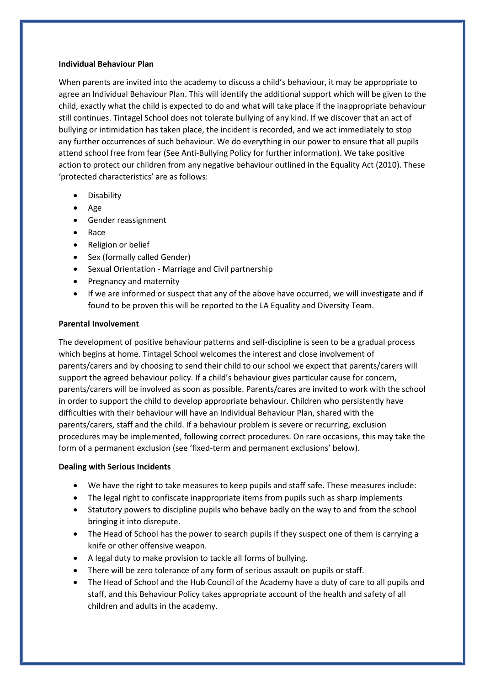### **Individual Behaviour Plan**

When parents are invited into the academy to discuss a child's behaviour, it may be appropriate to agree an Individual Behaviour Plan. This will identify the additional support which will be given to the child, exactly what the child is expected to do and what will take place if the inappropriate behaviour still continues. Tintagel School does not tolerate bullying of any kind. If we discover that an act of bullying or intimidation has taken place, the incident is recorded, and we act immediately to stop any further occurrences of such behaviour. We do everything in our power to ensure that all pupils attend school free from fear (See Anti-Bullying Policy for further information). We take positive action to protect our children from any negative behaviour outlined in the Equality Act (2010). These 'protected characteristics' are as follows:

- Disability
- Age
- Gender reassignment
- Race
- Religion or belief
- Sex (formally called Gender)
- Sexual Orientation Marriage and Civil partnership
- Pregnancy and maternity
- If we are informed or suspect that any of the above have occurred, we will investigate and if found to be proven this will be reported to the LA Equality and Diversity Team.

## **Parental Involvement**

The development of positive behaviour patterns and self-discipline is seen to be a gradual process which begins at home. Tintagel School welcomes the interest and close involvement of parents/carers and by choosing to send their child to our school we expect that parents/carers will support the agreed behaviour policy. If a child's behaviour gives particular cause for concern, parents/carers will be involved as soon as possible. Parents/cares are invited to work with the school in order to support the child to develop appropriate behaviour. Children who persistently have difficulties with their behaviour will have an Individual Behaviour Plan, shared with the parents/carers, staff and the child. If a behaviour problem is severe or recurring, exclusion procedures may be implemented, following correct procedures. On rare occasions, this may take the form of a permanent exclusion (see 'fixed-term and permanent exclusions' below).

# **Dealing with Serious Incidents**

- We have the right to take measures to keep pupils and staff safe. These measures include:
- The legal right to confiscate inappropriate items from pupils such as sharp implements
- Statutory powers to discipline pupils who behave badly on the way to and from the school bringing it into disrepute.
- The Head of School has the power to search pupils if they suspect one of them is carrying a knife or other offensive weapon.
- A legal duty to make provision to tackle all forms of bullying.
- There will be zero tolerance of any form of serious assault on pupils or staff.
- The Head of School and the Hub Council of the Academy have a duty of care to all pupils and staff, and this Behaviour Policy takes appropriate account of the health and safety of all children and adults in the academy.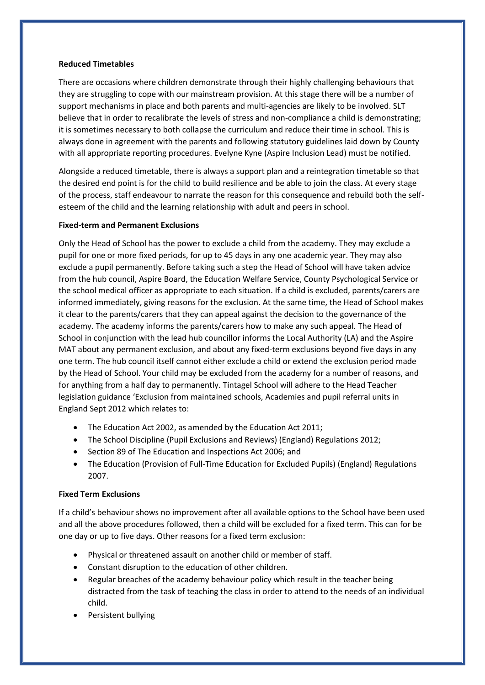# **Reduced Timetables**

There are occasions where children demonstrate through their highly challenging behaviours that they are struggling to cope with our mainstream provision. At this stage there will be a number of support mechanisms in place and both parents and multi-agencies are likely to be involved. SLT believe that in order to recalibrate the levels of stress and non-compliance a child is demonstrating; it is sometimes necessary to both collapse the curriculum and reduce their time in school. This is always done in agreement with the parents and following statutory guidelines laid down by County with all appropriate reporting procedures. Evelyne Kyne (Aspire Inclusion Lead) must be notified.

Alongside a reduced timetable, there is always a support plan and a reintegration timetable so that the desired end point is for the child to build resilience and be able to join the class. At every stage of the process, staff endeavour to narrate the reason for this consequence and rebuild both the selfesteem of the child and the learning relationship with adult and peers in school.

# **Fixed-term and Permanent Exclusions**

Only the Head of School has the power to exclude a child from the academy. They may exclude a pupil for one or more fixed periods, for up to 45 days in any one academic year. They may also exclude a pupil permanently. Before taking such a step the Head of School will have taken advice from the hub council, Aspire Board, the Education Welfare Service, County Psychological Service or the school medical officer as appropriate to each situation. If a child is excluded, parents/carers are informed immediately, giving reasons for the exclusion. At the same time, the Head of School makes it clear to the parents/carers that they can appeal against the decision to the governance of the academy. The academy informs the parents/carers how to make any such appeal. The Head of School in conjunction with the lead hub councillor informs the Local Authority (LA) and the Aspire MAT about any permanent exclusion, and about any fixed-term exclusions beyond five days in any one term. The hub council itself cannot either exclude a child or extend the exclusion period made by the Head of School. Your child may be excluded from the academy for a number of reasons, and for anything from a half day to permanently. Tintagel School will adhere to the Head Teacher legislation guidance 'Exclusion from maintained schools, Academies and pupil referral units in England Sept 2012 which relates to:

- The Education Act 2002, as amended by the Education Act 2011;
- The School Discipline (Pupil Exclusions and Reviews) (England) Regulations 2012;
- Section 89 of The Education and Inspections Act 2006; and
- The Education (Provision of Full-Time Education for Excluded Pupils) (England) Regulations 2007.

# **Fixed Term Exclusions**

If a child's behaviour shows no improvement after all available options to the School have been used and all the above procedures followed, then a child will be excluded for a fixed term. This can for be one day or up to five days. Other reasons for a fixed term exclusion:

- Physical or threatened assault on another child or member of staff.
- Constant disruption to the education of other children.
- Regular breaches of the academy behaviour policy which result in the teacher being distracted from the task of teaching the class in order to attend to the needs of an individual child.
- Persistent bullying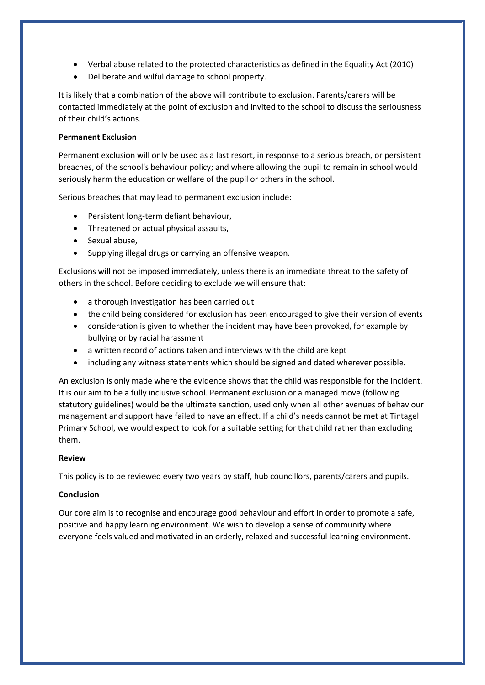- Verbal abuse related to the protected characteristics as defined in the Equality Act (2010)
- Deliberate and wilful damage to school property.

It is likely that a combination of the above will contribute to exclusion. Parents/carers will be contacted immediately at the point of exclusion and invited to the school to discuss the seriousness of their child's actions.

# **Permanent Exclusion**

Permanent exclusion will only be used as a last resort, in response to a serious breach, or persistent breaches, of the school's behaviour policy; and where allowing the pupil to remain in school would seriously harm the education or welfare of the pupil or others in the school.

Serious breaches that may lead to permanent exclusion include:

- Persistent long-term defiant behaviour,
- Threatened or actual physical assaults,
- Sexual abuse,
- Supplying illegal drugs or carrying an offensive weapon.

Exclusions will not be imposed immediately, unless there is an immediate threat to the safety of others in the school. Before deciding to exclude we will ensure that:

- a thorough investigation has been carried out
- the child being considered for exclusion has been encouraged to give their version of events
- consideration is given to whether the incident may have been provoked, for example by bullying or by racial harassment
- a written record of actions taken and interviews with the child are kept
- including any witness statements which should be signed and dated wherever possible.

An exclusion is only made where the evidence shows that the child was responsible for the incident. It is our aim to be a fully inclusive school. Permanent exclusion or a managed move (following statutory guidelines) would be the ultimate sanction, used only when all other avenues of behaviour management and support have failed to have an effect. If a child's needs cannot be met at Tintagel Primary School, we would expect to look for a suitable setting for that child rather than excluding them.

# **Review**

This policy is to be reviewed every two years by staff, hub councillors, parents/carers and pupils.

# **Conclusion**

Our core aim is to recognise and encourage good behaviour and effort in order to promote a safe, positive and happy learning environment. We wish to develop a sense of community where everyone feels valued and motivated in an orderly, relaxed and successful learning environment.